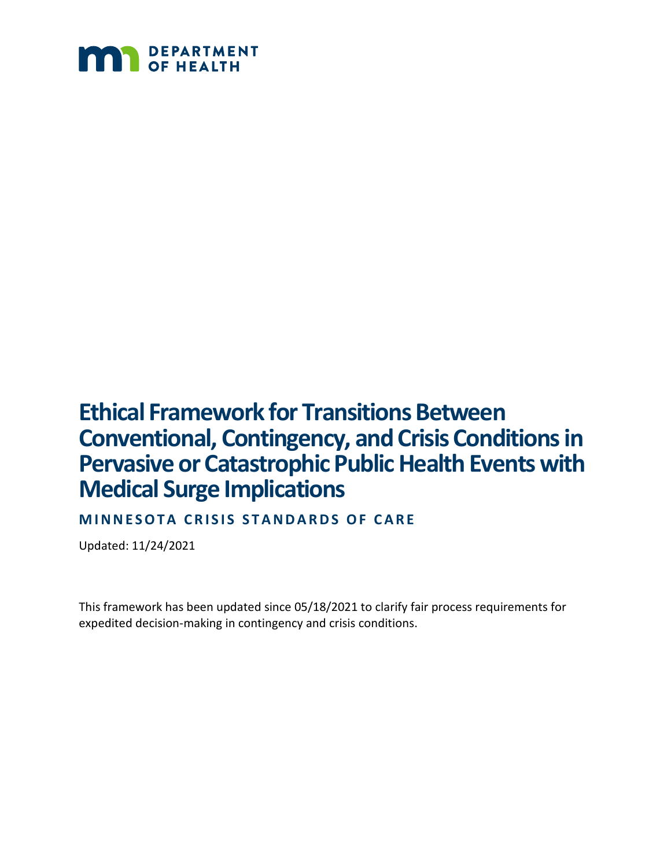

## **Ethical Framework for Transitions Between Conventional, Contingency, and Crisis Conditions in Pervasive or Catastrophic Public Health Events with Medical Surge Implications**

### **MINNESOTA CRISIS STANDARDS OF CARE**

Updated: 11/24/2021

This framework has been updated since 05/18/2021 to clarify fair process requirements for expedited decision-making in contingency and crisis conditions.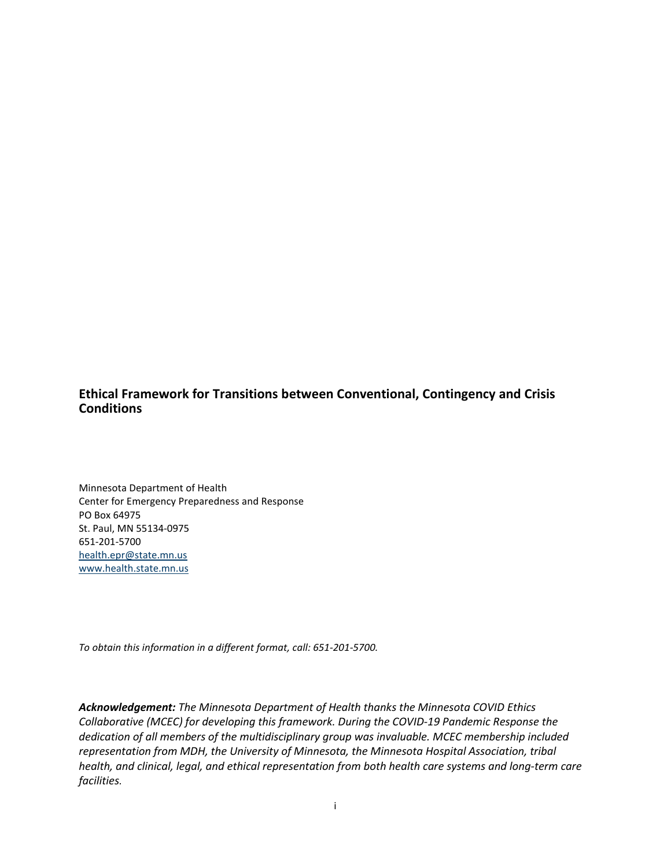**Ethical Framework for Transitions between Conventional, Contingency and Crisis Conditions**

Minnesota Department of Health Center for Emergency Preparedness and Response PO Box 64975 St. Paul, MN 55134-0975 651-201-5700 [health.epr@state.mn.us](mailto:health.epr@state.mn.us) [www.health.state.mn.us](http://www.health.state.mn.us/)

*To obtain this information in a different format, call: 651-201-5700.*

*Acknowledgement: The Minnesota Department of Health thanks the Minnesota COVID Ethics Collaborative (MCEC) for developing this framework. During the COVID-19 Pandemic Response the dedication of all members of the multidisciplinary group was invaluable. MCEC membership included representation from MDH, the University of Minnesota, the Minnesota Hospital Association, tribal health, and clinical, legal, and ethical representation from both health care systems and long-term care facilities.*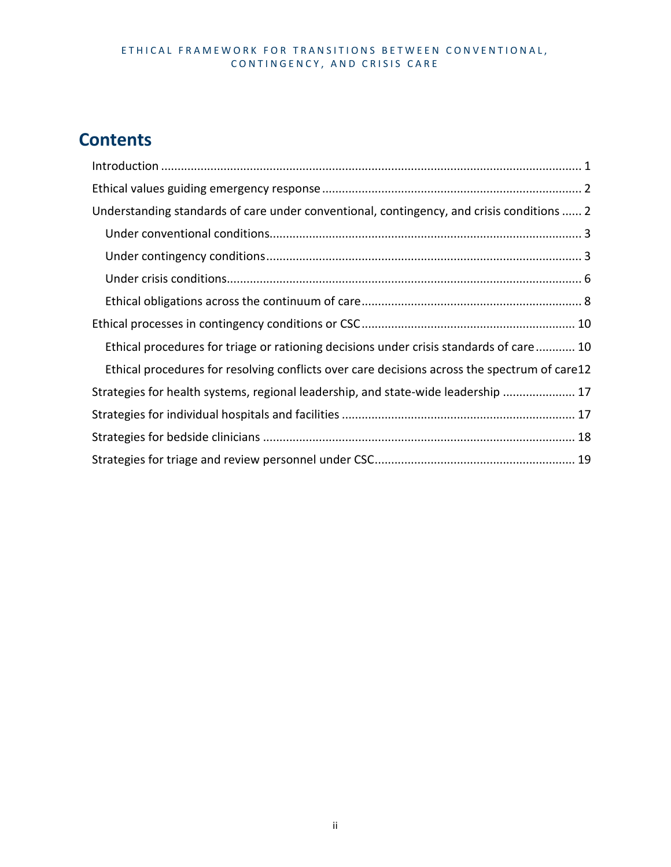## **Contents**

| Understanding standards of care under conventional, contingency, and crisis conditions  2    |
|----------------------------------------------------------------------------------------------|
|                                                                                              |
|                                                                                              |
|                                                                                              |
|                                                                                              |
|                                                                                              |
| Ethical procedures for triage or rationing decisions under crisis standards of care 10       |
| Ethical procedures for resolving conflicts over care decisions across the spectrum of care12 |
| Strategies for health systems, regional leadership, and state-wide leadership  17            |
|                                                                                              |
|                                                                                              |
|                                                                                              |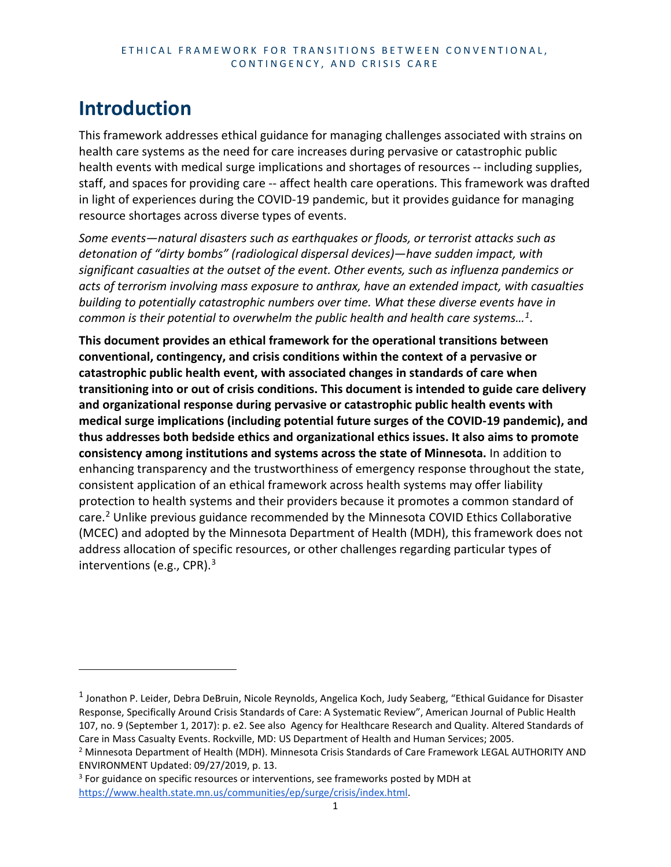## <span id="page-3-0"></span>**Introduction**

This framework addresses ethical guidance for managing challenges associated with strains on health care systems as the need for care increases during pervasive or catastrophic public health events with medical surge implications and shortages of resources -- including supplies, staff, and spaces for providing care -- affect health care operations. This framework was drafted in light of experiences during the COVID-19 pandemic, but it provides guidance for managing resource shortages across diverse types of events.

*Some events—natural disasters such as earthquakes or floods, or terrorist attacks such as detonation of "dirty bombs" (radiological dispersal devices)—have sudden impact, with significant casualties at the outset of the event. Other events, such as influenza pandemics or acts of terrorism involving mass exposure to anthrax, have an extended impact, with casualties building to potentially catastrophic numbers over time. What these diverse events have in common is their potential to overwhelm the public health and health care systems…[1](#page-3-2)*.

**This document provides an ethical framework for the operational transitions between conventional, contingency, and crisis conditions within the context of a pervasive or catastrophic public health event, with associated changes in standards of care when transitioning into or out of crisis conditions. This document is intended to guide care delivery and organizational response during pervasive or catastrophic public health events with medical surge implications (including potential future surges of the COVID-19 pandemic), and thus addresses both bedside ethics and organizational ethics issues. It also aims to promote consistency among institutions and systems across the state of Minnesota.** In addition to enhancing transparency and the trustworthiness of emergency response throughout the state, consistent application of an ethical framework across health systems may offer liability protection to health systems and their providers because it promotes a common standard of care[.2](#page-3-3) Unlike previous guidance recommended by the Minnesota COVID Ethics Collaborative (MCEC) and adopted by the Minnesota Department of Health (MDH), this framework does not address allocation of specific resources, or other challenges regarding particular types of interventions (e.g., CPR).<sup>[3](#page-3-4)</sup>

<span id="page-3-2"></span><span id="page-3-1"></span><sup>&</sup>lt;sup>1</sup> Jonathon P. Leider, Debra DeBruin, Nicole Reynolds, Angelica Koch, Judy Seaberg, "Ethical Guidance for Disaster Response, Specifically Around Crisis Standards of Care: A Systematic Review", American Journal of Public Health 107, no. 9 (September 1, 2017): p. e2. See also Agency for Healthcare Research and Quality. Altered Standards of Care in Mass Casualty Events. Rockville, MD: US Department of Health and Human Services; 2005.

<span id="page-3-3"></span><sup>&</sup>lt;sup>2</sup> Minnesota Department of Health (MDH). Minnesota Crisis Standards of Care Framework LEGAL AUTHORITY AND ENVIRONMENT Updated: 09/27/2019, p. 13.

<span id="page-3-4"></span><sup>&</sup>lt;sup>3</sup> For guidance on specific resources or interventions, see frameworks posted by MDH at [https://www.health.state.mn.us/communities/ep/surge/crisis/index.html.](https://www.health.state.mn.us/communities/ep/surge/crisis/index.html)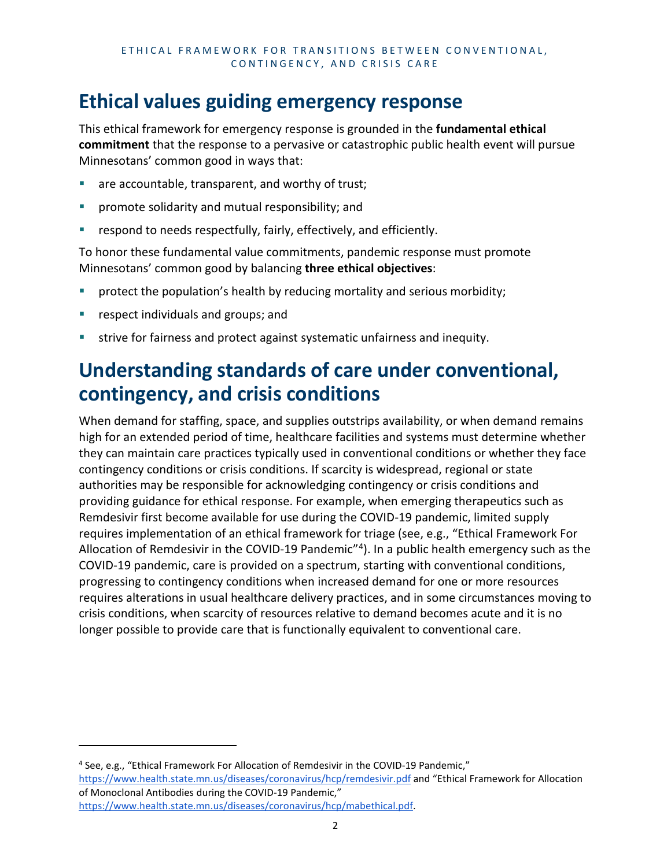## **Ethical values guiding emergency response**

This ethical framework for emergency response is grounded in the **fundamental ethical commitment** that the response to a pervasive or catastrophic public health event will pursue Minnesotans' common good in ways that:

- are accountable, transparent, and worthy of trust;
- promote solidarity and mutual responsibility; and
- respond to needs respectfully, fairly, effectively, and efficiently.

To honor these fundamental value commitments, pandemic response must promote Minnesotans' common good by balancing **three ethical objectives**:

- protect the population's health by reducing mortality and serious morbidity;
- respect individuals and groups; and
- strive for fairness and protect against systematic unfairness and inequity.

## <span id="page-4-0"></span>**Understanding standards of care under conventional, contingency, and crisis conditions**

When demand for staffing, space, and supplies outstrips availability, or when demand remains high for an extended period of time, healthcare facilities and systems must determine whether they can maintain care practices typically used in conventional conditions or whether they face contingency conditions or crisis conditions. If scarcity is widespread, regional or state authorities may be responsible for acknowledging contingency or crisis conditions and providing guidance for ethical response. For example, when emerging therapeutics such as Remdesivir first become available for use during the COVID-19 pandemic, limited supply requires implementation of an ethical framework for triage (see, e.g., "Ethical Framework For Allocation of Remdesivir in the COVID-19 Pandemic"[4\)](#page-4-1). In a public health emergency such as the COVID-19 pandemic, care is provided on a spectrum, starting with conventional conditions, progressing to contingency conditions when increased demand for one or more resources requires alterations in usual healthcare delivery practices, and in some circumstances moving to crisis conditions, when scarcity of resources relative to demand becomes acute and it is no longer possible to provide care that is functionally equivalent to conventional care.

<span id="page-4-1"></span><sup>4</sup> See, e.g., "Ethical Framework For Allocation of Remdesivir in the COVID-19 Pandemic," <https://www.health.state.mn.us/diseases/coronavirus/hcp/remdesivir.pdf> and "Ethical Framework for Allocation of Monoclonal Antibodies during the COVID-19 Pandemic," [https://www.health.state.mn.us/diseases/coronavirus/hcp/mabethical.pdf.](https://www.health.state.mn.us/diseases/coronavirus/hcp/mabethical.pdf)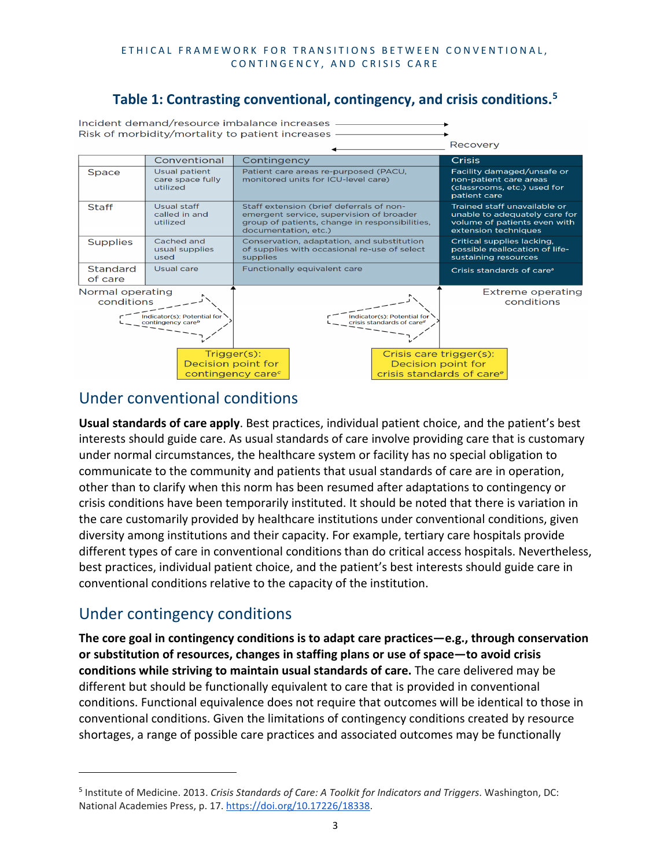### **Table 1: Contrasting conventional, contingency, and crisis conditions[.5](#page-5-2)**



### <span id="page-5-0"></span>Under conventional conditions

**Usual standards of care apply**. Best practices, individual patient choice, and the patient's best interests should guide care. As usual standards of care involve providing care that is customary under normal circumstances, the healthcare system or facility has no special obligation to communicate to the community and patients that usual standards of care are in operation, other than to clarify when this norm has been resumed after adaptations to contingency or crisis conditions have been temporarily instituted. It should be noted that there is variation in the care customarily provided by healthcare institutions under conventional conditions, given diversity among institutions and their capacity. For example, tertiary care hospitals provide different types of care in conventional conditions than do critical access hospitals. Nevertheless, best practices, individual patient choice, and the patient's best interests should guide care in conventional conditions relative to the capacity of the institution.

## <span id="page-5-1"></span>Under contingency conditions

**The core goal in contingency conditions is to adapt care practices—e.g., through conservation or substitution of resources, changes in staffing plans or use of space—to avoid crisis conditions while striving to maintain usual standards of care.** The care delivered may be different but should be functionally equivalent to care that is provided in conventional conditions. Functional equivalence does not require that outcomes will be identical to those in conventional conditions. Given the limitations of contingency conditions created by resource shortages, a range of possible care practices and associated outcomes may be functionally

<span id="page-5-2"></span><sup>5</sup> Institute of Medicine. 2013. *Crisis Standards of Care: A Toolkit for Indicators and Triggers*. Washington, DC: National Academies Press, p. 17[. https://doi.org/10.17226/18338.](https://doi.org/10.17226/18338)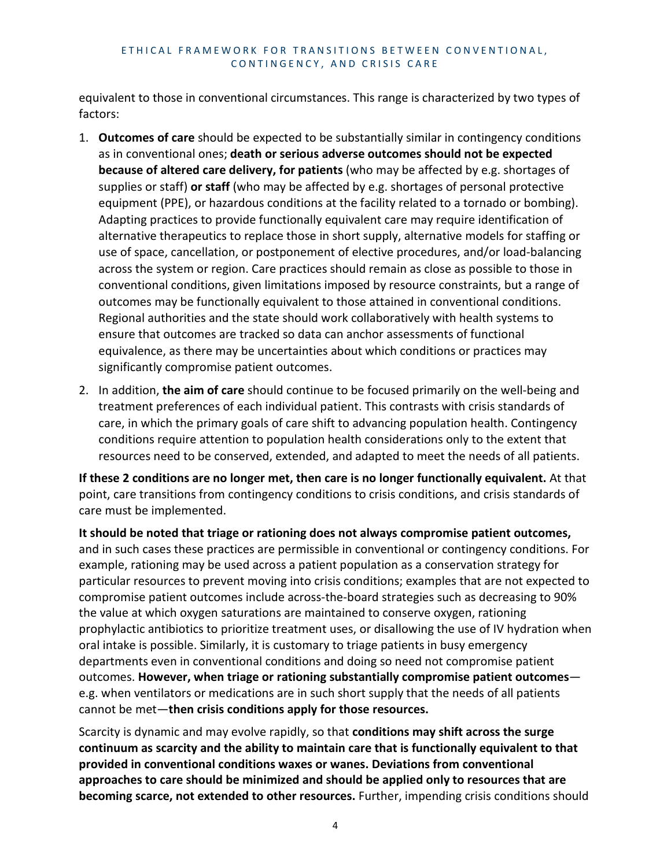equivalent to those in conventional circumstances. This range is characterized by two types of factors:

- 1. **Outcomes of care** should be expected to be substantially similar in contingency conditions as in conventional ones; **death or serious adverse outcomes should not be expected because of altered care delivery, for patients** (who may be affected by e.g. shortages of supplies or staff) **or staff** (who may be affected by e.g. shortages of personal protective equipment (PPE), or hazardous conditions at the facility related to a tornado or bombing). Adapting practices to provide functionally equivalent care may require identification of alternative therapeutics to replace those in short supply, alternative models for staffing or use of space, cancellation, or postponement of elective procedures, and/or load-balancing across the system or region. Care practices should remain as close as possible to those in conventional conditions, given limitations imposed by resource constraints, but a range of outcomes may be functionally equivalent to those attained in conventional conditions. Regional authorities and the state should work collaboratively with health systems to ensure that outcomes are tracked so data can anchor assessments of functional equivalence, as there may be uncertainties about which conditions or practices may significantly compromise patient outcomes.
- 2. In addition, **the aim of care** should continue to be focused primarily on the well-being and treatment preferences of each individual patient. This contrasts with crisis standards of care, in which the primary goals of care shift to advancing population health. Contingency conditions require attention to population health considerations only to the extent that resources need to be conserved, extended, and adapted to meet the needs of all patients.

**If these 2 conditions are no longer met, then care is no longer functionally equivalent.** At that point, care transitions from contingency conditions to crisis conditions, and crisis standards of care must be implemented.

**It should be noted that triage or rationing does not always compromise patient outcomes,** and in such cases these practices are permissible in conventional or contingency conditions. For example, rationing may be used across a patient population as a conservation strategy for particular resources to prevent moving into crisis conditions; examples that are not expected to compromise patient outcomes include across-the-board strategies such as decreasing to 90% the value at which oxygen saturations are maintained to conserve oxygen, rationing prophylactic antibiotics to prioritize treatment uses, or disallowing the use of IV hydration when oral intake is possible. Similarly, it is customary to triage patients in busy emergency departments even in conventional conditions and doing so need not compromise patient outcomes. **However, when triage or rationing substantially compromise patient outcomes** e.g. when ventilators or medications are in such short supply that the needs of all patients cannot be met—**then crisis conditions apply for those resources.**

Scarcity is dynamic and may evolve rapidly, so that **conditions may shift across the surge continuum as scarcity and the ability to maintain care that is functionally equivalent to that provided in conventional conditions waxes or wanes. Deviations from conventional approaches to care should be minimized and should be applied only to resources that are becoming scarce, not extended to other resources.** Further, impending crisis conditions should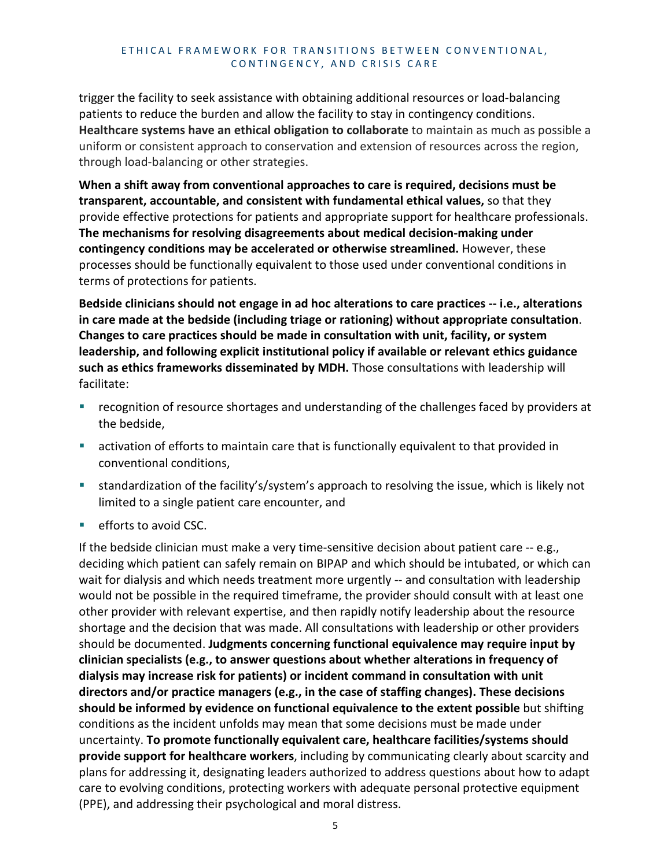trigger the facility to seek assistance with obtaining additional resources or load-balancing patients to reduce the burden and allow the facility to stay in contingency conditions. **Healthcare systems have an ethical obligation to collaborate** to maintain as much as possible a uniform or consistent approach to conservation and extension of resources across the region, through load-balancing or other strategies.

**When a shift away from conventional approaches to care is required, decisions must be transparent, accountable, and consistent with fundamental ethical values,** so that they provide effective protections for patients and appropriate support for healthcare professionals. **The mechanisms for resolving disagreements about medical decision-making under contingency conditions may be accelerated or otherwise streamlined.** However, these processes should be functionally equivalent to those used under conventional conditions in terms of protections for patients.

**Bedside clinicians should not engage in ad hoc alterations to care practices -- i.e., alterations in care made at the bedside (including triage or rationing) without appropriate consultation**. **Changes to care practices should be made in consultation with unit, facility, or system leadership, and following explicit institutional policy if available or relevant ethics guidance such as ethics frameworks disseminated by MDH.** Those consultations with leadership will facilitate:

- recognition of resource shortages and understanding of the challenges faced by providers at the bedside,
- activation of efforts to maintain care that is functionally equivalent to that provided in conventional conditions,
- standardization of the facility's/system's approach to resolving the issue, which is likely not limited to a single patient care encounter, and
- efforts to avoid CSC.

If the bedside clinician must make a very time-sensitive decision about patient care -- e.g., deciding which patient can safely remain on BIPAP and which should be intubated, or which can wait for dialysis and which needs treatment more urgently -- and consultation with leadership would not be possible in the required timeframe, the provider should consult with at least one other provider with relevant expertise, and then rapidly notify leadership about the resource shortage and the decision that was made. All consultations with leadership or other providers should be documented. **Judgments concerning functional equivalence may require input by clinician specialists (e.g., to answer questions about whether alterations in frequency of dialysis may increase risk for patients) or incident command in consultation with unit directors and/or practice managers (e.g., in the case of staffing changes). These decisions should be informed by evidence on functional equivalence to the extent possible** but shifting conditions as the incident unfolds may mean that some decisions must be made under uncertainty. **To promote functionally equivalent care, healthcare facilities/systems should provide support for healthcare workers**, including by communicating clearly about scarcity and plans for addressing it, designating leaders authorized to address questions about how to adapt care to evolving conditions, protecting workers with adequate personal protective equipment (PPE), and addressing their psychological and moral distress.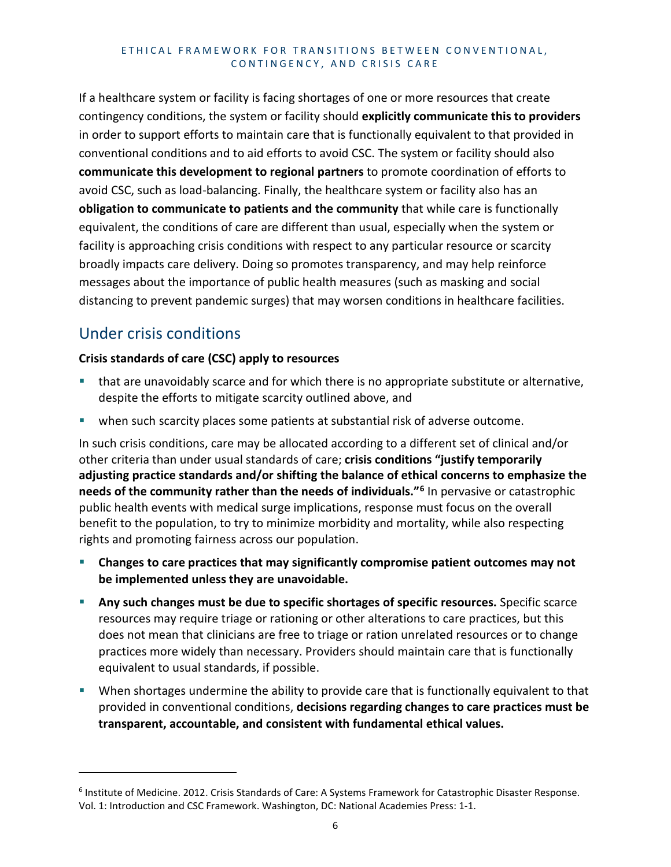If a healthcare system or facility is facing shortages of one or more resources that create contingency conditions, the system or facility should **explicitly communicate this to providers** in order to support efforts to maintain care that is functionally equivalent to that provided in conventional conditions and to aid efforts to avoid CSC. The system or facility should also **communicate this development to regional partners** to promote coordination of efforts to avoid CSC, such as load-balancing. Finally, the healthcare system or facility also has an **obligation to communicate to patients and the community** that while care is functionally equivalent, the conditions of care are different than usual, especially when the system or facility is approaching crisis conditions with respect to any particular resource or scarcity broadly impacts care delivery. Doing so promotes transparency, and may help reinforce messages about the importance of public health measures (such as masking and social distancing to prevent pandemic surges) that may worsen conditions in healthcare facilities.

## <span id="page-8-0"></span>Under crisis conditions

### **Crisis standards of care (CSC) apply to resources**

- that are unavoidably scarce and for which there is no appropriate substitute or alternative, despite the efforts to mitigate scarcity outlined above, and
- when such scarcity places some patients at substantial risk of adverse outcome.

In such crisis conditions, care may be allocated according to a different set of clinical and/or other criteria than under usual standards of care; **crisis conditions "justify temporarily adjusting practice standards and/or shifting the balance of ethical concerns to emphasize the needs of the community rather than the needs of individuals."[6](#page-8-1)** In pervasive or catastrophic public health events with medical surge implications, response must focus on the overall benefit to the population, to try to minimize morbidity and mortality, while also respecting rights and promoting fairness across our population.

- **Changes to care practices that may significantly compromise patient outcomes may not be implemented unless they are unavoidable.**
- **Any such changes must be due to specific shortages of specific resources.** Specific scarce resources may require triage or rationing or other alterations to care practices, but this does not mean that clinicians are free to triage or ration unrelated resources or to change practices more widely than necessary. Providers should maintain care that is functionally equivalent to usual standards, if possible.
- When shortages undermine the ability to provide care that is functionally equivalent to that provided in conventional conditions, **decisions regarding changes to care practices must be transparent, accountable, and consistent with fundamental ethical values.**

<span id="page-8-1"></span><sup>6</sup> Institute of Medicine. 2012. Crisis Standards of Care: A Systems Framework for Catastrophic Disaster Response. Vol. 1: Introduction and CSC Framework. Washington, DC: National Academies Press: 1-1.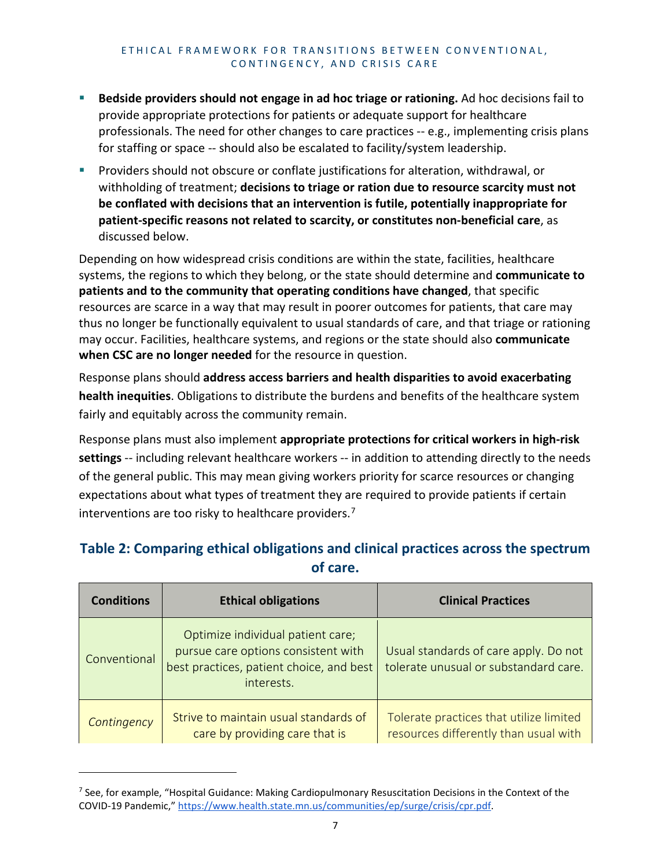- **Bedside providers should not engage in ad hoc triage or rationing.** Ad hoc decisions fail to provide appropriate protections for patients or adequate support for healthcare professionals. The need for other changes to care practices -- e.g., implementing crisis plans for staffing or space -- should also be escalated to facility/system leadership.
- Providers should not obscure or conflate justifications for alteration, withdrawal, or withholding of treatment; **decisions to triage or ration due to resource scarcity must not be conflated with decisions that an intervention is futile, potentially inappropriate for patient-specific reasons not related to scarcity, or constitutes non-beneficial care**, as discussed below.

Depending on how widespread crisis conditions are within the state, facilities, healthcare systems, the regions to which they belong, or the state should determine and **communicate to patients and to the community that operating conditions have changed**, that specific resources are scarce in a way that may result in poorer outcomes for patients, that care may thus no longer be functionally equivalent to usual standards of care, and that triage or rationing may occur. Facilities, healthcare systems, and regions or the state should also **communicate when CSC are no longer needed** for the resource in question.

Response plans should **address access barriers and health disparities to avoid exacerbating health inequities**. Obligations to distribute the burdens and benefits of the healthcare system fairly and equitably across the community remain.

Response plans must also implement **appropriate protections for critical workers in high-risk settings** -- including relevant healthcare workers -- in addition to attending directly to the needs of the general public. This may mean giving workers priority for scarce resources or changing expectations about what types of treatment they are required to provide patients if certain interventions are too risky to healthcare providers.<sup>[7](#page-9-0)</sup>

| <b>Conditions</b> | <b>Ethical obligations</b>                                                                                                         | <b>Clinical Practices</b>                                                        |  |
|-------------------|------------------------------------------------------------------------------------------------------------------------------------|----------------------------------------------------------------------------------|--|
| Conventional      | Optimize individual patient care;<br>pursue care options consistent with<br>best practices, patient choice, and best<br>interests. | Usual standards of care apply. Do not<br>tolerate unusual or substandard care.   |  |
| Contingency       | Strive to maintain usual standards of<br>care by providing care that is                                                            | Tolerate practices that utilize limited<br>resources differently than usual with |  |

### **Table 2: Comparing ethical obligations and clinical practices across the spectrum of care.**

<span id="page-9-0"></span> $<sup>7</sup>$  See, for example, "Hospital Guidance: Making Cardiopulmonary Resuscitation Decisions in the Context of the</sup> COVID-19 Pandemic,[" https://www.health.state.mn.us/communities/ep/surge/crisis/cpr.pdf.](https://www.health.state.mn.us/communities/ep/surge/crisis/cpr.pdf)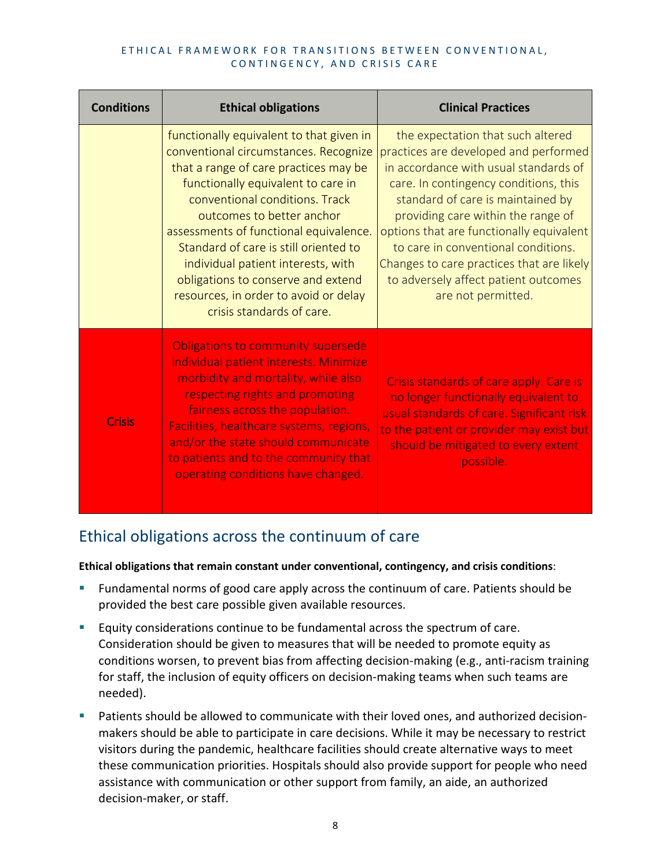| <b>Conditions</b> | <b>Ethical obligations</b>                                                                                                                                                                                                                                                                                                                                                                                                                                           | <b>Clinical Practices</b>                                                                                                                                                                                                                                                                                                                                                                                                             |
|-------------------|----------------------------------------------------------------------------------------------------------------------------------------------------------------------------------------------------------------------------------------------------------------------------------------------------------------------------------------------------------------------------------------------------------------------------------------------------------------------|---------------------------------------------------------------------------------------------------------------------------------------------------------------------------------------------------------------------------------------------------------------------------------------------------------------------------------------------------------------------------------------------------------------------------------------|
|                   | functionally equivalent to that given in<br>conventional circumstances. Recognize<br>that a range of care practices may be<br>functionally equivalent to care in<br>conventional conditions. Track<br>outcomes to better anchor<br>assessments of functional equivalence.<br>Standard of care is still oriented to<br>individual patient interests, with<br>obligations to conserve and extend<br>resources, in order to avoid or delay<br>crisis standards of care. | the expectation that such altered<br>practices are developed and performed<br>in accordance with usual standards of<br>care. In contingency conditions, this<br>standard of care is maintained by<br>providing care within the range of<br>options that are functionally equivalent<br>to care in conventional conditions.<br>Changes to care practices that are likely<br>to adversely affect patient outcomes<br>are not permitted. |
| <b>Crisis</b>     | Obligations to community supersede<br>individual patient interests. Minimize<br>morbidity and mortality, while also<br>respecting rights and promoting<br>fairness across the population.<br>Facilities, healthcare systems, regions,<br>and/or the state should communicate<br>to patients and to the community that<br>operating conditions have changed.                                                                                                          | Crisis standards of care apply. Care is<br>no longer functionally equivalent to<br>usual standards of care. Significant risk<br>to the patient or provider may exist but<br>should be mitigated to every extent<br>possible.                                                                                                                                                                                                          |

## <span id="page-10-0"></span>Ethical obligations across the continuum of care

### **Ethical obligations that remain constant under conventional, contingency, and crisis conditions**:

- Fundamental norms of good care apply across the continuum of care. Patients should be provided the best care possible given available resources.
- **Equity considerations continue to be fundamental across the spectrum of care.** Consideration should be given to measures that will be needed to promote equity as conditions worsen, to prevent bias from affecting decision-making (e.g., anti-racism training for staff, the inclusion of equity officers on decision-making teams when such teams are needed).
- Patients should be allowed to communicate with their loved ones, and authorized decisionmakers should be able to participate in care decisions. While it may be necessary to restrict visitors during the pandemic, healthcare facilities should create alternative ways to meet these communication priorities. Hospitals should also provide support for people who need assistance with communication or other support from family, an aide, an authorized decision-maker, or staff.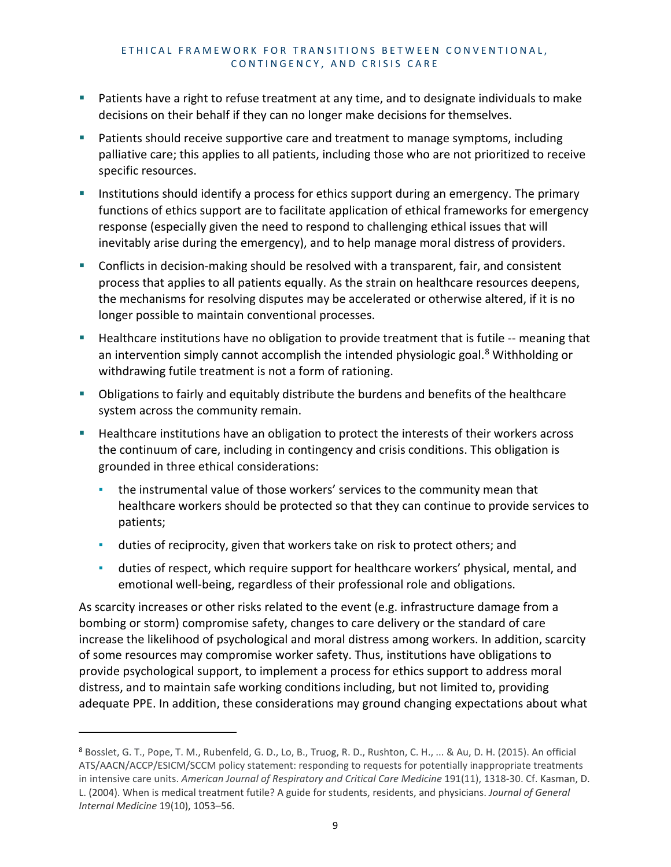- **Patients have a right to refuse treatment at any time, and to designate individuals to make** decisions on their behalf if they can no longer make decisions for themselves.
- Patients should receive supportive care and treatment to manage symptoms, including palliative care; this applies to all patients, including those who are not prioritized to receive specific resources.
- Institutions should identify a process for ethics support during an emergency. The primary functions of ethics support are to facilitate application of ethical frameworks for emergency response (especially given the need to respond to challenging ethical issues that will inevitably arise during the emergency), and to help manage moral distress of providers.
- Conflicts in decision-making should be resolved with a transparent, fair, and consistent process that applies to all patients equally. As the strain on healthcare resources deepens, the mechanisms for resolving disputes may be accelerated or otherwise altered, if it is no longer possible to maintain conventional processes.
- Healthcare institutions have no obligation to provide treatment that is futile -- meaning that an intervention simply cannot accomplish the intended physiologic goal.<sup>[8](#page-11-0)</sup> Withholding or withdrawing futile treatment is not a form of rationing.
- Obligations to fairly and equitably distribute the burdens and benefits of the healthcare system across the community remain.
- Healthcare institutions have an obligation to protect the interests of their workers across the continuum of care, including in contingency and crisis conditions. This obligation is grounded in three ethical considerations:
	- the instrumental value of those workers' services to the community mean that healthcare workers should be protected so that they can continue to provide services to patients;
	- **•** duties of reciprocity, given that workers take on risk to protect others; and
	- duties of respect, which require support for healthcare workers' physical, mental, and emotional well-being, regardless of their professional role and obligations.

As scarcity increases or other risks related to the event (e.g. infrastructure damage from a bombing or storm) compromise safety, changes to care delivery or the standard of care increase the likelihood of psychological and moral distress among workers. In addition, scarcity of some resources may compromise worker safety. Thus, institutions have obligations to provide psychological support, to implement a process for ethics support to address moral distress, and to maintain safe working conditions including, but not limited to, providing adequate PPE. In addition, these considerations may ground changing expectations about what

<span id="page-11-0"></span><sup>8</sup> Bosslet, G. T., Pope, T. M., Rubenfeld, G. D., Lo, B., Truog, R. D., Rushton, C. H., ... & Au, D. H. (2015). An official ATS/AACN/ACCP/ESICM/SCCM policy statement: responding to requests for potentially inappropriate treatments in intensive care units. *American Journal of Respiratory and Critical Care Medicine* 191(11), 1318-30. Cf. Kasman, D. L. (2004). When is medical treatment futile? A guide for students, residents, and physicians. *Journal of General Internal Medicine* 19(10), 1053–56.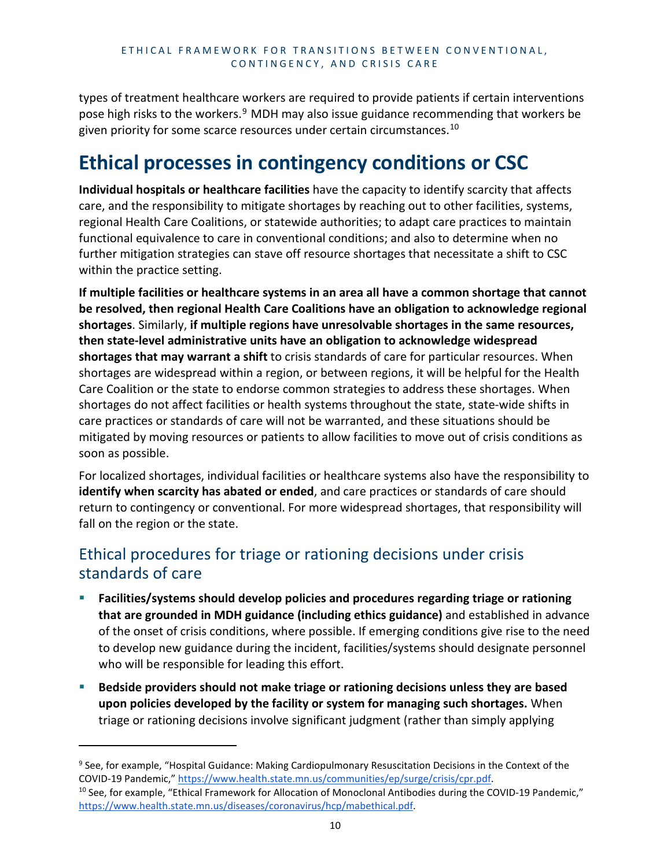types of treatment healthcare workers are required to provide patients if certain interventions pose high risks to the workers.<sup>[9](#page-12-2)</sup> MDH may also issue guidance recommending that workers be given priority for some scarce resources under certain circumstances.<sup>[10](#page-12-3)</sup>

## <span id="page-12-0"></span>**Ethical processes in contingency conditions or CSC**

**Individual hospitals or healthcare facilities** have the capacity to identify scarcity that affects care, and the responsibility to mitigate shortages by reaching out to other facilities, systems, regional Health Care Coalitions, or statewide authorities; to adapt care practices to maintain functional equivalence to care in conventional conditions; and also to determine when no further mitigation strategies can stave off resource shortages that necessitate a shift to CSC within the practice setting.

**If multiple facilities or healthcare systems in an area all have a common shortage that cannot be resolved, then regional Health Care Coalitions have an obligation to acknowledge regional shortages**. Similarly, **if multiple regions have unresolvable shortages in the same resources, then state-level administrative units have an obligation to acknowledge widespread shortages that may warrant a shift** to crisis standards of care for particular resources. When shortages are widespread within a region, or between regions, it will be helpful for the Health Care Coalition or the state to endorse common strategies to address these shortages. When shortages do not affect facilities or health systems throughout the state, state-wide shifts in care practices or standards of care will not be warranted, and these situations should be mitigated by moving resources or patients to allow facilities to move out of crisis conditions as soon as possible.

For localized shortages, individual facilities or healthcare systems also have the responsibility to **identify when scarcity has abated or ended**, and care practices or standards of care should return to contingency or conventional. For more widespread shortages, that responsibility will fall on the region or the state.

## <span id="page-12-1"></span>Ethical procedures for triage or rationing decisions under crisis standards of care

- **Facilities/systems should develop policies and procedures regarding triage or rationing that are grounded in MDH guidance (including ethics guidance)** and established in advance of the onset of crisis conditions, where possible. If emerging conditions give rise to the need to develop new guidance during the incident, facilities/systems should designate personnel who will be responsible for leading this effort.
- **Bedside providers should not make triage or rationing decisions unless they are based upon policies developed by the facility or system for managing such shortages.** When triage or rationing decisions involve significant judgment (rather than simply applying

<span id="page-12-3"></span><span id="page-12-2"></span><sup>&</sup>lt;sup>9</sup> See, for example, "Hospital Guidance: Making Cardiopulmonary Resuscitation Decisions in the Context of the COVID-19 Pandemic," https://www.health.state.mn.us/communities/ep/surge/crisis/cpr.pdf.<br><sup>10</sup> See, for example, "Ethical Framework for Allocation of Monoclonal Antibodies during the COVID-19 Pandemic," [https://www.health.state.mn.us/diseases/coronavirus/hcp/mabethical.pdf.](https://www.health.state.mn.us/diseases/coronavirus/hcp/mabethical.pdf)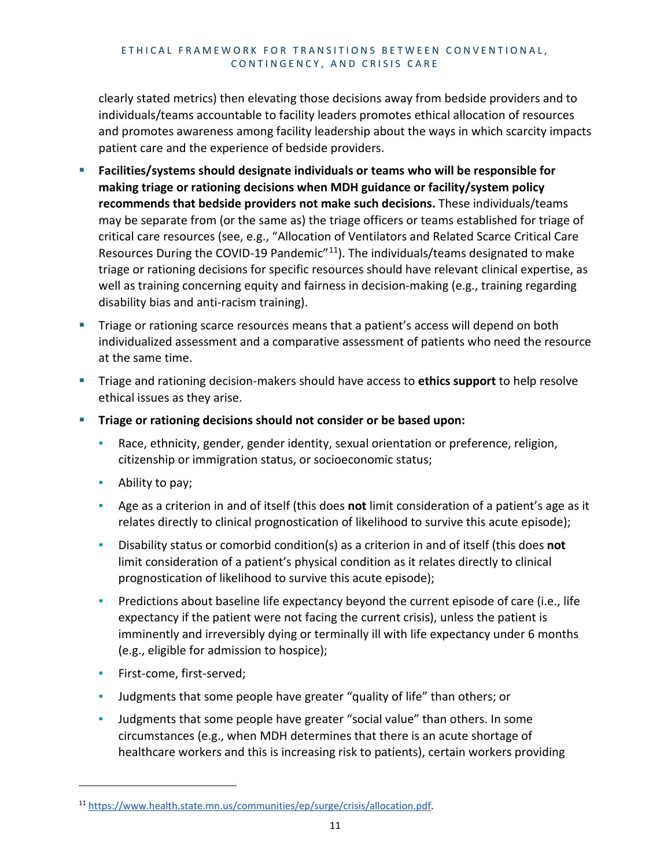clearly stated metrics) then elevating those decisions away from bedside providers and to individuals/teams accountable to facility leaders promotes ethical allocation of resources and promotes awareness among facility leadership about the ways in which scarcity impacts patient care and the experience of bedside providers.

- **Facilities/systems should designate individuals or teams who will be responsible for making triage or rationing decisions when MDH guidance or facility/system policy recommends that bedside providers not make such decisions.** These individuals/teams may be separate from (or the same as) the triage officers or teams established for triage of critical care resources (see, e.g., "Allocation of Ventilators and Related Scarce Critical Care Resources During the COVID-19 Pandemic<sup>"11</sup>). The individuals/teams designated to make triage or rationing decisions for specific resources should have relevant clinical expertise, as well as training concerning equity and fairness in decision-making (e.g., training regarding disability bias and anti-racism training).
- Triage or rationing scarce resources means that a patient's access will depend on both individualized assessment and a comparative assessment of patients who need the resource at the same time.
- Triage and rationing decision-makers should have access to **ethics support** to help resolve ethical issues as they arise.
- **Triage or rationing decisions should not consider or be based upon:**
	- Race, ethnicity, gender, gender identity, sexual orientation or preference, religion, citizenship or immigration status, or socioeconomic status;
	- Ability to pay;
	- Age as a criterion in and of itself (this does **not** limit consideration of a patient's age as it relates directly to clinical prognostication of likelihood to survive this acute episode);
	- Disability status or comorbid condition(s) as a criterion in and of itself (this does **not** limit consideration of a patient's physical condition as it relates directly to clinical prognostication of likelihood to survive this acute episode);
	- **•** Predictions about baseline life expectancy beyond the current episode of care (i.e., life expectancy if the patient were not facing the current crisis), unless the patient is imminently and irreversibly dying or terminally ill with life expectancy under 6 months (e.g., eligible for admission to hospice);
	- **·** First-come, first-served;
	- Judgments that some people have greater "quality of life" than others; or
	- Judgments that some people have greater "social value" than others. In some circumstances (e.g., when MDH determines that there is an acute shortage of healthcare workers and this is increasing risk to patients), certain workers providing

<span id="page-13-0"></span><sup>11</sup> [https://www.health.state.mn.us/communities/ep/surge/crisis/allocation.pdf.](https://www.health.state.mn.us/communities/ep/surge/crisis/allocation.pdf)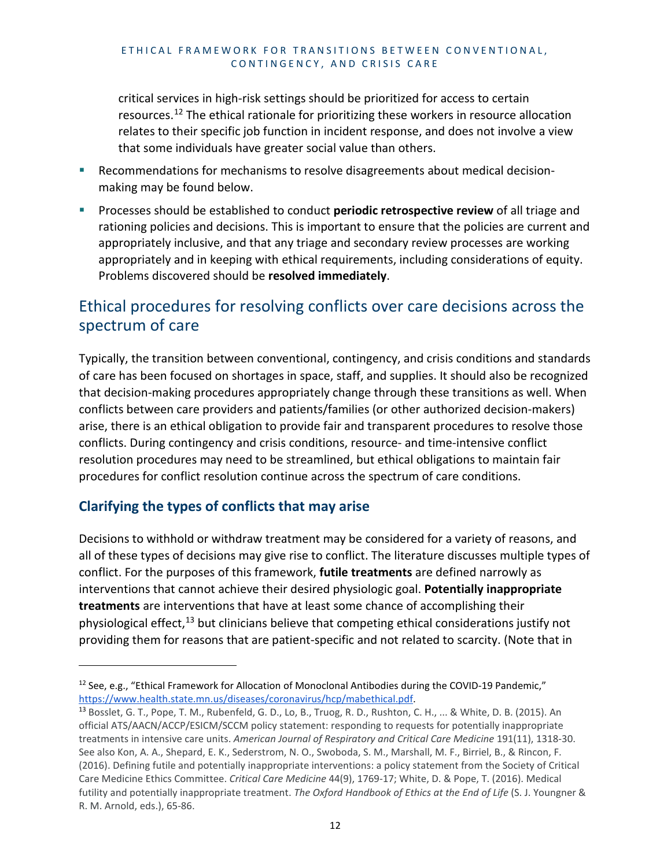critical services in high-risk settings should be prioritized for access to certain resources.<sup>[12](#page-14-1)</sup> The ethical rationale for prioritizing these workers in resource allocation relates to their specific job function in incident response, and does not involve a view that some individuals have greater social value than others.

- Recommendations for mechanisms to resolve disagreements about medical decisionmaking may be found below.
- **Processes should be established to conduct periodic retrospective review of all triage and** rationing policies and decisions. This is important to ensure that the policies are current and appropriately inclusive, and that any triage and secondary review processes are working appropriately and in keeping with ethical requirements, including considerations of equity. Problems discovered should be **resolved immediately**.

### <span id="page-14-0"></span>Ethical procedures for resolving conflicts over care decisions across the spectrum of care

Typically, the transition between conventional, contingency, and crisis conditions and standards of care has been focused on shortages in space, staff, and supplies. It should also be recognized that decision-making procedures appropriately change through these transitions as well. When conflicts between care providers and patients/families (or other authorized decision-makers) arise, there is an ethical obligation to provide fair and transparent procedures to resolve those conflicts. During contingency and crisis conditions, resource- and time-intensive conflict resolution procedures may need to be streamlined, but ethical obligations to maintain fair procedures for conflict resolution continue across the spectrum of care conditions.

### **Clarifying the types of conflicts that may arise**

Decisions to withhold or withdraw treatment may be considered for a variety of reasons, and all of these types of decisions may give rise to conflict. The literature discusses multiple types of conflict. For the purposes of this framework, **futile treatments** are defined narrowly as interventions that cannot achieve their desired physiologic goal. **Potentially inappropriate treatments** are interventions that have at least some chance of accomplishing their physiological effect, $13$  but clinicians believe that competing ethical considerations justify not providing them for reasons that are patient-specific and not related to scarcity. (Note that in

<span id="page-14-1"></span><sup>&</sup>lt;sup>12</sup> See, e.g., "Ethical Framework for Allocation of Monoclonal Antibodies during the COVID-19 Pandemic," [https://www.health.state.mn.us/diseases/coronavirus/hcp/mabethical.pdf.](https://www.health.state.mn.us/diseases/coronavirus/hcp/mabethical.pdf)<br><sup>13</sup> Bosslet, G. T., Pope, T. M., Rubenfeld, G. D., Lo, B., Truog, R. D., Rushton, C. H., ... & White, D. B. (2015). An

<span id="page-14-2"></span>official ATS/AACN/ACCP/ESICM/SCCM policy statement: responding to requests for potentially inappropriate treatments in intensive care units. *American Journal of Respiratory and Critical Care Medicine* 191(11), 1318-30. See also Kon, A. A., Shepard, E. K., Sederstrom, N. O., Swoboda, S. M., Marshall, M. F., Birriel, B., & Rincon, F. (2016). Defining futile and potentially inappropriate interventions: a policy statement from the Society of Critical Care Medicine Ethics Committee. *Critical Care Medicine* 44(9), 1769-17; White, D. & Pope, T. (2016). Medical futility and potentially inappropriate treatment. *The Oxford Handbook of Ethics at the End of Life* (S. J. Youngner & R. M. Arnold, eds.), 65-86.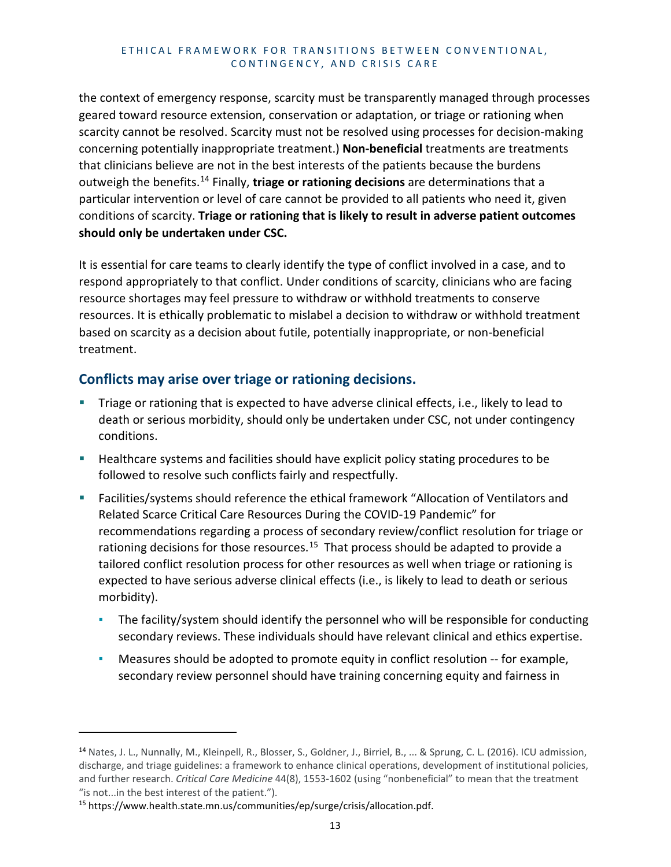the context of emergency response, scarcity must be transparently managed through processes geared toward resource extension, conservation or adaptation, or triage or rationing when scarcity cannot be resolved. Scarcity must not be resolved using processes for decision-making concerning potentially inappropriate treatment.) **Non-beneficial** treatments are treatments that clinicians believe are not in the best interests of the patients because the burdens outweigh the benefits.[14](#page-15-0) Finally, **triage or rationing decisions** are determinations that a particular intervention or level of care cannot be provided to all patients who need it, given conditions of scarcity. **Triage or rationing that is likely to result in adverse patient outcomes should only be undertaken under CSC.**

It is essential for care teams to clearly identify the type of conflict involved in a case, and to respond appropriately to that conflict. Under conditions of scarcity, clinicians who are facing resource shortages may feel pressure to withdraw or withhold treatments to conserve resources. It is ethically problematic to mislabel a decision to withdraw or withhold treatment based on scarcity as a decision about futile, potentially inappropriate, or non-beneficial treatment.

### **Conflicts may arise over triage or rationing decisions.**

- Triage or rationing that is expected to have adverse clinical effects, i.e., likely to lead to death or serious morbidity, should only be undertaken under CSC, not under contingency conditions.
- **EXT** Healthcare systems and facilities should have explicit policy stating procedures to be followed to resolve such conflicts fairly and respectfully.
- Facilities/systems should reference the ethical framework "Allocation of Ventilators and Related Scarce Critical Care Resources During the COVID-19 Pandemic" for recommendations regarding a process of secondary review/conflict resolution for triage or rationing decisions for those resources.<sup>[15](#page-15-1)</sup> That process should be adapted to provide a tailored conflict resolution process for other resources as well when triage or rationing is expected to have serious adverse clinical effects (i.e., is likely to lead to death or serious morbidity).
	- **•** The facility/system should identify the personnel who will be responsible for conducting secondary reviews. These individuals should have relevant clinical and ethics expertise.
	- Measures should be adopted to promote equity in conflict resolution -- for example, secondary review personnel should have training concerning equity and fairness in

<span id="page-15-0"></span><sup>14</sup> Nates, J. L., Nunnally, M., Kleinpell, R., Blosser, S., Goldner, J., Birriel, B., ... & Sprung, C. L. (2016). ICU admission, discharge, and triage guidelines: a framework to enhance clinical operations, development of institutional policies, and further research. *Critical Care Medicine* 44(8), 1553-1602 (using "nonbeneficial" to mean that the treatment "is not...in the best interest of the patient.").

<span id="page-15-1"></span><sup>15</sup> [https://www.health.state.mn.us/communities/ep/surge/crisis/allocation.pdf.](https://www.health.state.mn.us/communities/ep/surge/crisis/allocation.pdf)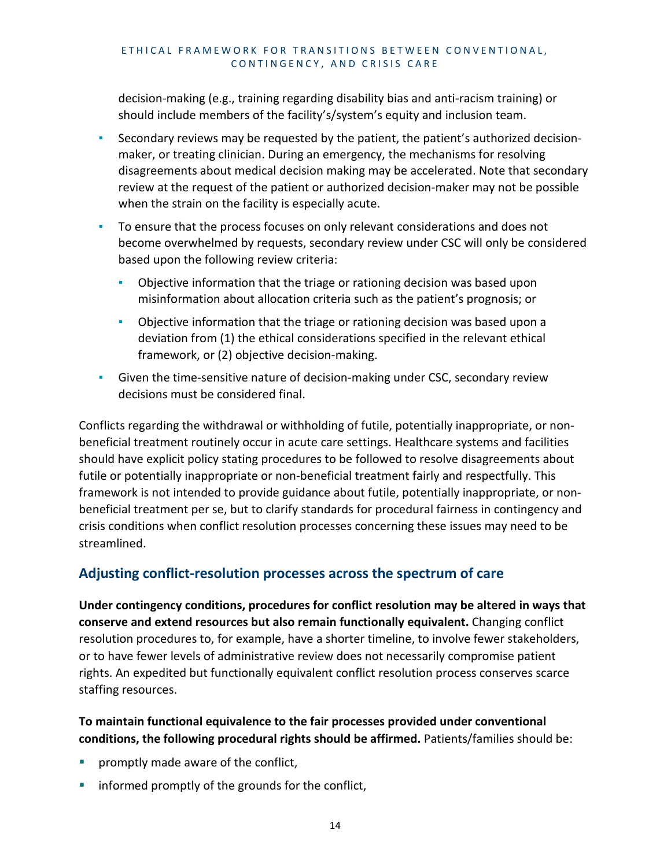decision-making (e.g., training regarding disability bias and anti-racism training) or should include members of the facility's/system's equity and inclusion team.

- Secondary reviews may be requested by the patient, the patient's authorized decisionmaker, or treating clinician. During an emergency, the mechanisms for resolving disagreements about medical decision making may be accelerated. Note that secondary review at the request of the patient or authorized decision-maker may not be possible when the strain on the facility is especially acute.
- To ensure that the process focuses on only relevant considerations and does not become overwhelmed by requests, secondary review under CSC will only be considered based upon the following review criteria:
	- **•** Objective information that the triage or rationing decision was based upon misinformation about allocation criteria such as the patient's prognosis; or
	- **•** Objective information that the triage or rationing decision was based upon a deviation from (1) the ethical considerations specified in the relevant ethical framework, or (2) objective decision-making.
- **•** Given the time-sensitive nature of decision-making under CSC, secondary review decisions must be considered final.

Conflicts regarding the withdrawal or withholding of futile, potentially inappropriate, or nonbeneficial treatment routinely occur in acute care settings. Healthcare systems and facilities should have explicit policy stating procedures to be followed to resolve disagreements about futile or potentially inappropriate or non-beneficial treatment fairly and respectfully. This framework is not intended to provide guidance about futile, potentially inappropriate, or nonbeneficial treatment per se, but to clarify standards for procedural fairness in contingency and crisis conditions when conflict resolution processes concerning these issues may need to be streamlined.

### **Adjusting conflict-resolution processes across the spectrum of care**

**Under contingency conditions, procedures for conflict resolution may be altered in ways that conserve and extend resources but also remain functionally equivalent.** Changing conflict resolution procedures to, for example, have a shorter timeline, to involve fewer stakeholders, or to have fewer levels of administrative review does not necessarily compromise patient rights. An expedited but functionally equivalent conflict resolution process conserves scarce staffing resources.

### **To maintain functional equivalence to the fair processes provided under conventional conditions, the following procedural rights should be affirmed.** Patients/families should be:

- promptly made aware of the conflict,
- informed promptly of the grounds for the conflict,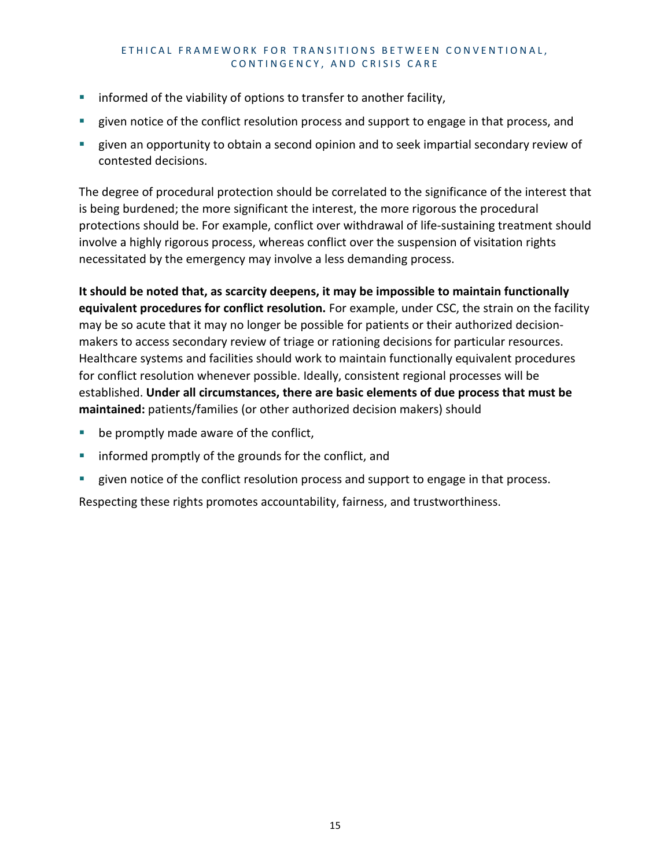- informed of the viability of options to transfer to another facility,
- given notice of the conflict resolution process and support to engage in that process, and
- given an opportunity to obtain a second opinion and to seek impartial secondary review of contested decisions.

The degree of procedural protection should be correlated to the significance of the interest that is being burdened; the more significant the interest, the more rigorous the procedural protections should be. For example, conflict over withdrawal of life-sustaining treatment should involve a highly rigorous process, whereas conflict over the suspension of visitation rights necessitated by the emergency may involve a less demanding process.

**It should be noted that, as scarcity deepens, it may be impossible to maintain functionally equivalent procedures for conflict resolution.** For example, under CSC, the strain on the facility may be so acute that it may no longer be possible for patients or their authorized decisionmakers to access secondary review of triage or rationing decisions for particular resources. Healthcare systems and facilities should work to maintain functionally equivalent procedures for conflict resolution whenever possible. Ideally, consistent regional processes will be established. **Under all circumstances, there are basic elements of due process that must be maintained:** patients/families (or other authorized decision makers) should

- be promptly made aware of the conflict,
- informed promptly of the grounds for the conflict, and
- given notice of the conflict resolution process and support to engage in that process.

Respecting these rights promotes accountability, fairness, and trustworthiness.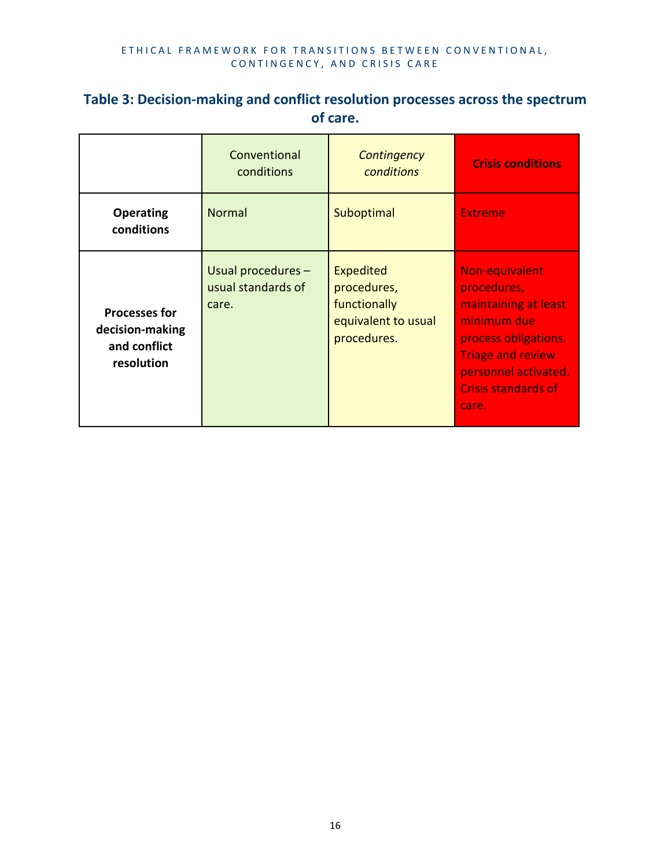|                                                                       | Conventional<br>conditions                        | Contingency<br>conditions                                                             | <b>Crisis conditions</b>                                                                                                                                                                |
|-----------------------------------------------------------------------|---------------------------------------------------|---------------------------------------------------------------------------------------|-----------------------------------------------------------------------------------------------------------------------------------------------------------------------------------------|
| <b>Operating</b><br>conditions                                        | <b>Normal</b>                                     | Suboptimal                                                                            | <b>Extreme</b>                                                                                                                                                                          |
| <b>Processes for</b><br>decision-making<br>and conflict<br>resolution | Usual procedures -<br>usual standards of<br>care. | <b>Expedited</b><br>procedures,<br>functionally<br>equivalent to usual<br>procedures. | Non-equivalent<br>procedures,<br>maintaining at least<br>minimum due<br>process obligations.<br><b>Triage and review</b><br>personnel activated.<br><b>Crisis standards of</b><br>care. |

### **Table 3: Decision-making and conflict resolution processes across the spectrum of care.**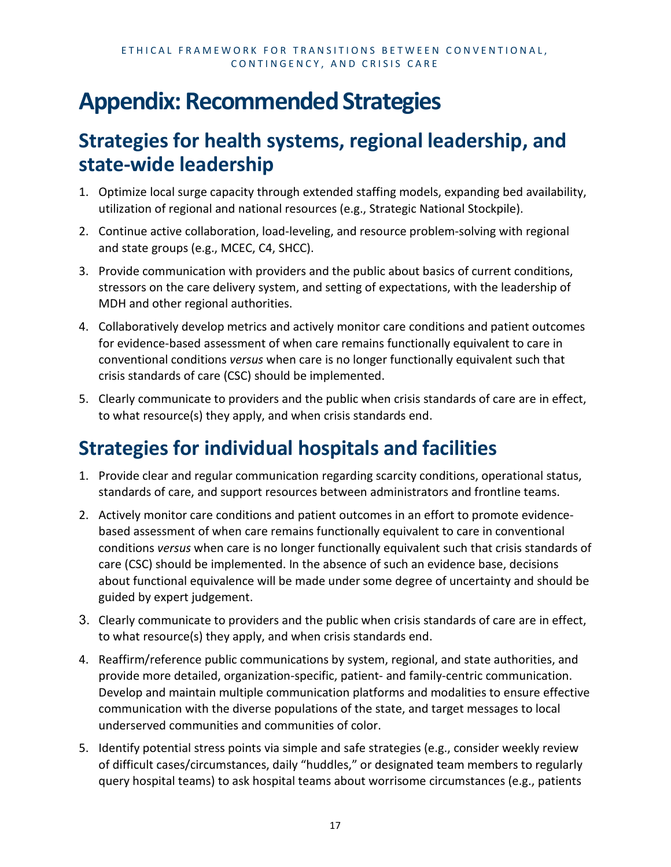# **Appendix: Recommended Strategies**

## <span id="page-19-0"></span>**Strategies for health systems, regional leadership, and state-wide leadership**

- 1. Optimize local surge capacity through extended staffing models, expanding bed availability, utilization of regional and national resources (e.g., Strategic National Stockpile).
- 2. Continue active collaboration, load-leveling, and resource problem-solving with regional and state groups (e.g., MCEC, C4, SHCC).
- 3. Provide communication with providers and the public about basics of current conditions, stressors on the care delivery system, and setting of expectations, with the leadership of MDH and other regional authorities.
- 4. Collaboratively develop metrics and actively monitor care conditions and patient outcomes for evidence-based assessment of when care remains functionally equivalent to care in conventional conditions *versus* when care is no longer functionally equivalent such that crisis standards of care (CSC) should be implemented.
- 5. Clearly communicate to providers and the public when crisis standards of care are in effect, to what resource(s) they apply, and when crisis standards end.

## <span id="page-19-1"></span>**Strategies for individual hospitals and facilities**

- 1. Provide clear and regular communication regarding scarcity conditions, operational status, standards of care, and support resources between administrators and frontline teams.
- 2. Actively monitor care conditions and patient outcomes in an effort to promote evidencebased assessment of when care remains functionally equivalent to care in conventional conditions *versus* when care is no longer functionally equivalent such that crisis standards of care (CSC) should be implemented. In the absence of such an evidence base, decisions about functional equivalence will be made under some degree of uncertainty and should be guided by expert judgement.
- 3. Clearly communicate to providers and the public when crisis standards of care are in effect, to what resource(s) they apply, and when crisis standards end.
- 4. Reaffirm/reference public communications by system, regional, and state authorities, and provide more detailed, organization-specific, patient- and family-centric communication. Develop and maintain multiple communication platforms and modalities to ensure effective communication with the diverse populations of the state, and target messages to local underserved communities and communities of color.
- 5. Identify potential stress points via simple and safe strategies (e.g., consider weekly review of difficult cases/circumstances, daily "huddles," or designated team members to regularly query hospital teams) to ask hospital teams about worrisome circumstances (e.g., patients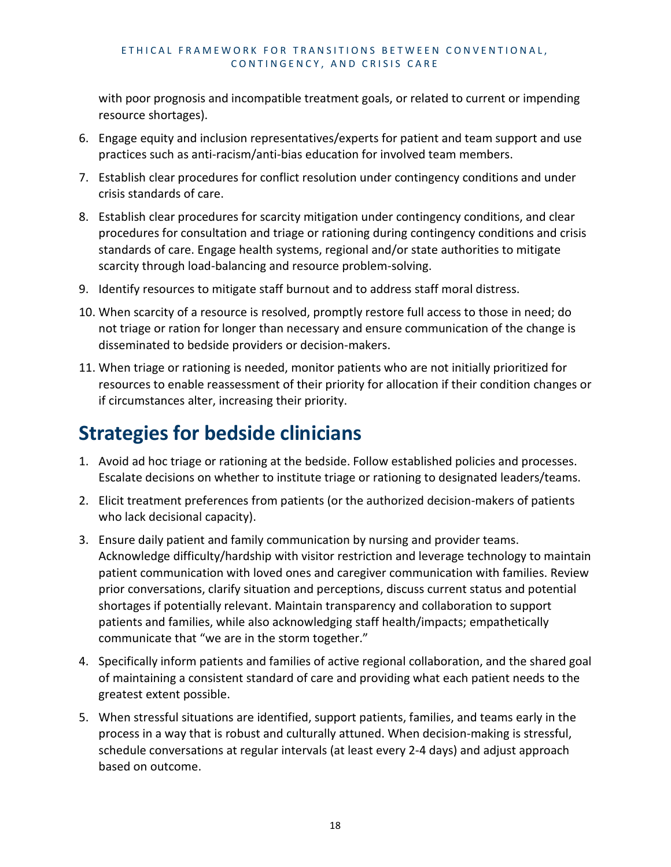with poor prognosis and incompatible treatment goals, or related to current or impending resource shortages).

- 6. Engage equity and inclusion representatives/experts for patient and team support and use practices such as anti-racism/anti-bias education for involved team members.
- 7. Establish clear procedures for conflict resolution under contingency conditions and under crisis standards of care.
- 8. Establish clear procedures for scarcity mitigation under contingency conditions, and clear procedures for consultation and triage or rationing during contingency conditions and crisis standards of care. Engage health systems, regional and/or state authorities to mitigate scarcity through load-balancing and resource problem-solving.
- 9. Identify resources to mitigate staff burnout and to address staff moral distress.
- 10. When scarcity of a resource is resolved, promptly restore full access to those in need; do not triage or ration for longer than necessary and ensure communication of the change is disseminated to bedside providers or decision-makers.
- 11. When triage or rationing is needed, monitor patients who are not initially prioritized for resources to enable reassessment of their priority for allocation if their condition changes or if circumstances alter, increasing their priority.

## <span id="page-20-0"></span>**Strategies for bedside clinicians**

- 1. Avoid ad hoc triage or rationing at the bedside. Follow established policies and processes. Escalate decisions on whether to institute triage or rationing to designated leaders/teams.
- 2. Elicit treatment preferences from patients (or the authorized decision-makers of patients who lack decisional capacity).
- 3. Ensure daily patient and family communication by nursing and provider teams. Acknowledge difficulty/hardship with visitor restriction and leverage technology to maintain patient communication with loved ones and caregiver communication with families. Review prior conversations, clarify situation and perceptions, discuss current status and potential shortages if potentially relevant. Maintain transparency and collaboration to support patients and families, while also acknowledging staff health/impacts; empathetically communicate that "we are in the storm together."
- 4. Specifically inform patients and families of active regional collaboration, and the shared goal of maintaining a consistent standard of care and providing what each patient needs to the greatest extent possible.
- 5. When stressful situations are identified, support patients, families, and teams early in the process in a way that is robust and culturally attuned. When decision-making is stressful, schedule conversations at regular intervals (at least every 2-4 days) and adjust approach based on outcome.